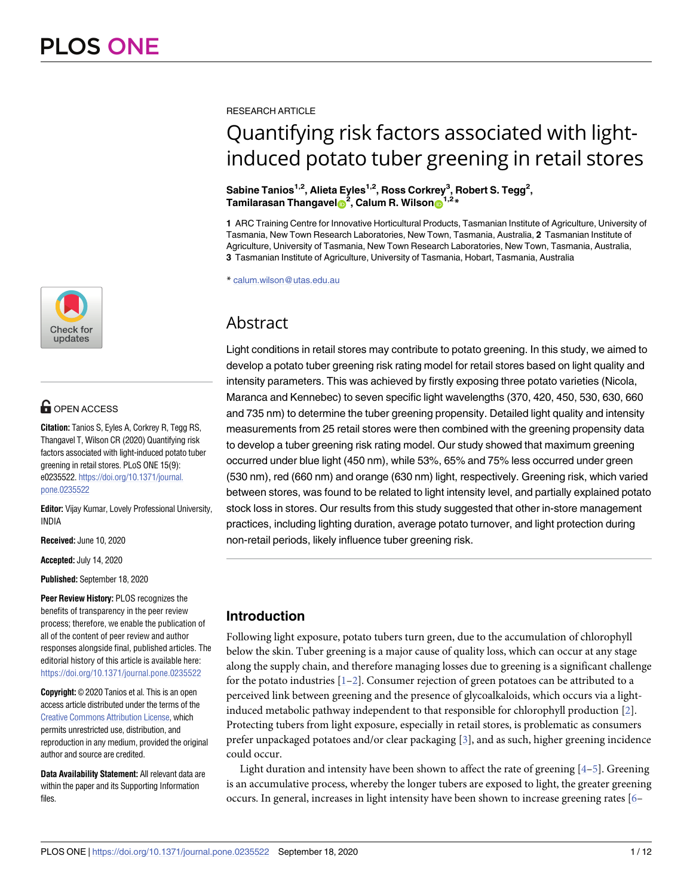

# **OPEN ACCESS**

**Citation:** Tanios S, Eyles A, Corkrey R, Tegg RS, Thangavel T, Wilson CR (2020) Quantifying risk factors associated with light-induced potato tuber greening in retail stores. PLoS ONE 15(9): e0235522. [https://doi.org/10.1371/journal.](https://doi.org/10.1371/journal.pone.0235522) [pone.0235522](https://doi.org/10.1371/journal.pone.0235522)

**Editor:** Vijay Kumar, Lovely Professional University, INDIA

**Received:** June 10, 2020

**Accepted:** July 14, 2020

**Published:** September 18, 2020

**Peer Review History:** PLOS recognizes the benefits of transparency in the peer review process; therefore, we enable the publication of all of the content of peer review and author responses alongside final, published articles. The editorial history of this article is available here: <https://doi.org/10.1371/journal.pone.0235522>

**Copyright:** © 2020 Tanios et al. This is an open access article distributed under the terms of the Creative Commons [Attribution](http://creativecommons.org/licenses/by/4.0/) License, which permits unrestricted use, distribution, and reproduction in any medium, provided the original author and source are credited.

**Data Availability Statement:** All relevant data are within the paper and its Supporting Information files.

<span id="page-0-0"></span>RESEARCH ARTICLE

# Quantifying risk factors associated with lightinduced potato tuber greening in retail stores

**Sabine Tanios1,2, Alieta Eyles1,2, Ross Corkrey3 , Robert S. Tegg2 ,**  $\int_0^{\infty}$  **Tamilarasan Thangavel**  $\int_0^2$ , Calum R. Wilson  $\int_0^{\infty}$ 1,2 $^*$ 

**1** ARC Training Centre for Innovative Horticultural Products, Tasmanian Institute of Agriculture, University of Tasmania, New Town Research Laboratories, New Town, Tasmania, Australia, **2** Tasmanian Institute of Agriculture, University of Tasmania, New Town Research Laboratories, New Town, Tasmania, Australia, **3** Tasmanian Institute of Agriculture, University of Tasmania, Hobart, Tasmania, Australia

\* calum.wilson@utas.edu.au

# Abstract

Light conditions in retail stores may contribute to potato greening. In this study, we aimed to develop a potato tuber greening risk rating model for retail stores based on light quality and intensity parameters. This was achieved by firstly exposing three potato varieties (Nicola, Maranca and Kennebec) to seven specific light wavelengths (370, 420, 450, 530, 630, 660 and 735 nm) to determine the tuber greening propensity. Detailed light quality and intensity measurements from 25 retail stores were then combined with the greening propensity data to develop a tuber greening risk rating model. Our study showed that maximum greening occurred under blue light (450 nm), while 53%, 65% and 75% less occurred under green (530 nm), red (660 nm) and orange (630 nm) light, respectively. Greening risk, which varied between stores, was found to be related to light intensity level, and partially explained potato stock loss in stores. Our results from this study suggested that other in-store management practices, including lighting duration, average potato turnover, and light protection during non-retail periods, likely influence tuber greening risk.

# **Introduction**

Following light exposure, potato tubers turn green, due to the accumulation of chlorophyll below the skin. Tuber greening is a major cause of quality loss, which can occur at any stage along the supply chain, and therefore managing losses due to greening is a significant challenge for the potato industries  $[1-2]$ . Consumer rejection of green potatoes can be attributed to a perceived link between greening and the presence of glycoalkaloids, which occurs via a lightinduced metabolic pathway independent to that responsible for chlorophyll production [[2](#page-10-0)]. Protecting tubers from light exposure, especially in retail stores, is problematic as consumers prefer unpackaged potatoes and/or clear packaging [[3](#page-10-0)], and as such, higher greening incidence could occur.

Light duration and intensity have been shown to affect the rate of greening  $[4-5]$  $[4-5]$  $[4-5]$  $[4-5]$  $[4-5]$ . Greening is an accumulative process, whereby the longer tubers are exposed to light, the greater greening occurs. In general, increases in light intensity have been shown to increase greening rates [\[6–](#page-10-0)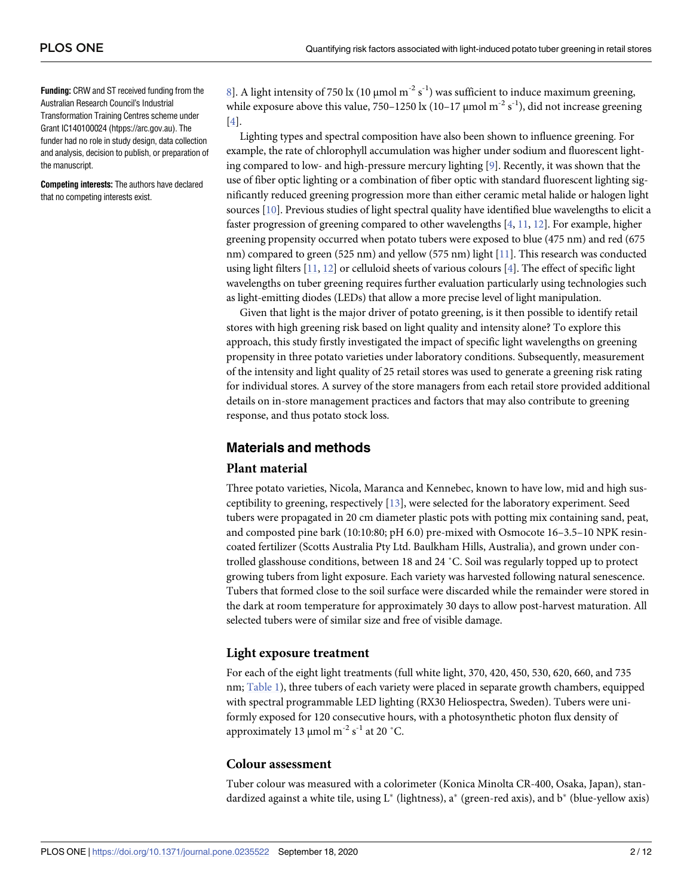<span id="page-1-0"></span>**Funding:** CRW and ST received funding from the Australian Research Council's Industrial Transformation Training Centres scheme under Grant IC140100024 (htpps://arc.gov.au). The funder had no role in study design, data collection and analysis, decision to publish, or preparation of the manuscript.

**Competing interests:** The authors have declared that no competing interests exist.

[8\]](#page-10-0). A light intensity of 750 lx (10 μmol m<sup>-2</sup> s<sup>-1</sup>) was sufficient to induce maximum greening, while exposure above this value, 750-1250 lx (10-17  $\mu$ mol m<sup>-2</sup> s<sup>-1</sup>), did not increase greening [\[4](#page-10-0)].

Lighting types and spectral composition have also been shown to influence greening. For example, the rate of chlorophyll accumulation was higher under sodium and fluorescent lighting compared to low- and high-pressure mercury lighting [\[9](#page-10-0)]. Recently, it was shown that the use of fiber optic lighting or a combination of fiber optic with standard fluorescent lighting significantly reduced greening progression more than either ceramic metal halide or halogen light sources [\[10](#page-10-0)]. Previous studies of light spectral quality have identified blue wavelengths to elicit a faster progression of greening compared to other wavelengths [\[4](#page-10-0), [11,](#page-10-0) [12\]](#page-10-0). For example, higher greening propensity occurred when potato tubers were exposed to blue (475 nm) and red (675 nm) compared to green (525 nm) and yellow (575 nm) light [\[11\]](#page-10-0). This research was conducted using light filters [\[11,](#page-10-0) [12\]](#page-10-0) or celluloid sheets of various colours [[4](#page-10-0)]. The effect of specific light wavelengths on tuber greening requires further evaluation particularly using technologies such as light-emitting diodes (LEDs) that allow a more precise level of light manipulation.

Given that light is the major driver of potato greening, is it then possible to identify retail stores with high greening risk based on light quality and intensity alone? To explore this approach, this study firstly investigated the impact of specific light wavelengths on greening propensity in three potato varieties under laboratory conditions. Subsequently, measurement of the intensity and light quality of 25 retail stores was used to generate a greening risk rating for individual stores. A survey of the store managers from each retail store provided additional details on in-store management practices and factors that may also contribute to greening response, and thus potato stock loss.

# **Materials and methods**

#### **Plant material**

Three potato varieties, Nicola, Maranca and Kennebec, known to have low, mid and high susceptibility to greening, respectively [\[13](#page-10-0)], were selected for the laboratory experiment. Seed tubers were propagated in 20 cm diameter plastic pots with potting mix containing sand, peat, and composted pine bark (10:10:80; pH 6.0) pre-mixed with Osmocote 16–3.5–10 NPK resincoated fertilizer (Scotts Australia Pty Ltd. Baulkham Hills, Australia), and grown under controlled glasshouse conditions, between 18 and 24 ˚C. Soil was regularly topped up to protect growing tubers from light exposure. Each variety was harvested following natural senescence. Tubers that formed close to the soil surface were discarded while the remainder were stored in the dark at room temperature for approximately 30 days to allow post-harvest maturation. All selected tubers were of similar size and free of visible damage.

#### **Light exposure treatment**

For each of the eight light treatments (full white light, 370, 420, 450, 530, 620, 660, and 735 nm; [Table](#page-2-0) 1), three tubers of each variety were placed in separate growth chambers, equipped with spectral programmable LED lighting (RX30 Heliospectra, Sweden). Tubers were uniformly exposed for 120 consecutive hours, with a photosynthetic photon flux density of approximately 13  $\mu$ mol m<sup>-2</sup> s<sup>-1</sup> at 20 °C.

#### **Colour assessment**

Tuber colour was measured with a colorimeter (Konica Minolta CR-400, Osaka, Japan), standardized against a white tile, using  $L^*$  (lightness), a<sup>\*</sup> (green-red axis), and  $b^*$  (blue-yellow axis)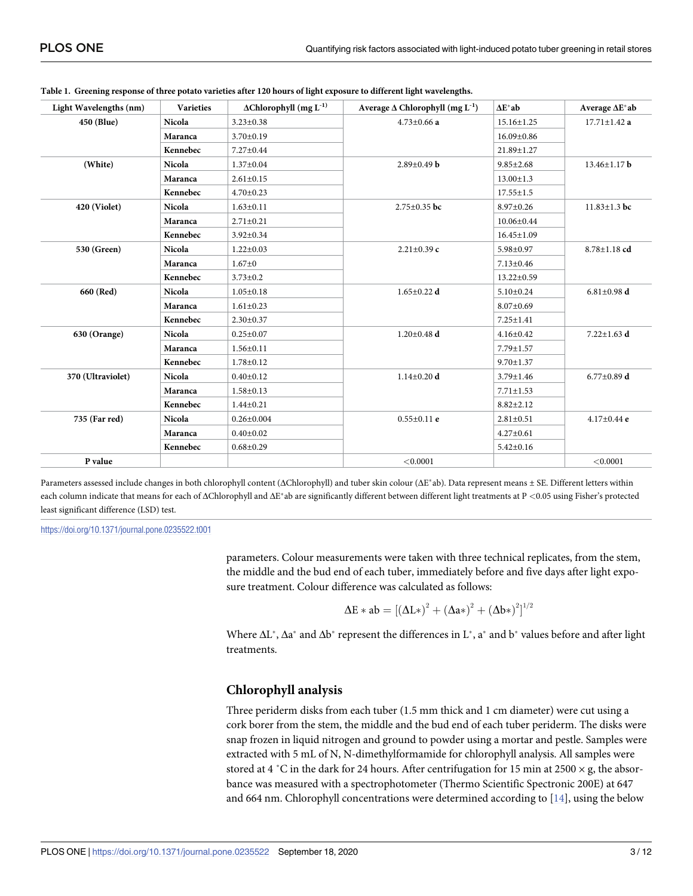| Light Wavelengths (nm) | <b>Varieties</b> | $\Delta$ Chlorophyll $(mg~L^{-1})$ | Average $\Delta$ Chlorophyll (mg L <sup>-1</sup> ) | $\Delta E^*$ ab  | Average $\Delta E^*ab$ |
|------------------------|------------------|------------------------------------|----------------------------------------------------|------------------|------------------------|
| 450 (Blue)             | Nicola           | $3.23 \pm 0.38$                    | $4.73 \pm 0.66$ a                                  | $15.16 \pm 1.25$ | $17.71 \pm 1.42$ a     |
|                        | Maranca          | $3.70 \pm 0.19$                    |                                                    | 16.09±0.86       |                        |
|                        | Kennebec         | 7.27±0.44                          |                                                    | 21.89±1.27       |                        |
| (White)                | Nicola           | $1.37 \pm 0.04$                    | $2.89 \pm 0.49$ b                                  | $9.85 \pm 2.68$  | $13.46 \pm 1.17$ b     |
|                        | Maranca          | $2.61 \pm 0.15$                    |                                                    | $13.00 \pm 1.3$  |                        |
|                        | Kennebec         | $4.70 \pm 0.23$                    |                                                    | $17.55 \pm 1.5$  |                        |
| 420 (Violet)           | Nicola           | $1.63 \pm 0.11$                    | $2.75 \pm 0.35$ bc                                 | $8.97 \pm 0.26$  | $11.83 \pm 1.3$ bc     |
|                        | Maranca          | $2.71 \pm 0.21$                    |                                                    | $10.06 \pm 0.44$ |                        |
|                        | Kennebec         | $3.92 \pm 0.34$                    |                                                    | $16.45 \pm 1.09$ |                        |
| 530 (Green)            | Nicola           | $1.22 \pm 0.03$                    | $2.21 \pm 0.39$ c                                  | 5.98±0.97        | $8.78 \pm 1.18$ cd     |
|                        | Maranca          | $1.67 + 0$                         |                                                    | $7.13 \pm 0.46$  |                        |
|                        | Kennebec         | $3.73 \pm 0.2$                     |                                                    | $13.22 \pm 0.59$ |                        |
| 660 (Red)              | Nicola           | $1.05 \pm 0.18$                    | $1.65 \pm 0.22$ d                                  | $5.10 \pm 0.24$  | $6.81 \pm 0.98$ d      |
|                        | Maranca          | $1.61 \pm 0.23$                    |                                                    | $8.07 \pm 0.69$  |                        |
|                        | Kennebec         | $2.30 \pm 0.37$                    |                                                    | $7.25 \pm 1.41$  |                        |
| 630 (Orange)           | Nicola           | $0.25 \pm 0.07$                    | $1.20 \pm 0.48$ d                                  | $4.16 \pm 0.42$  | $7.22 \pm 1.63$ d      |
|                        | Maranca          | $1.56 \pm 0.11$                    |                                                    | 7.79±1.57        |                        |
|                        | Kennebec         | $1.78 \pm 0.12$                    |                                                    | $9.70 \pm 1.37$  |                        |
| 370 (Ultraviolet)      | Nicola           | $0.40 \pm 0.12$                    | $1.14 \pm 0.20$ d                                  | $3.79 \pm 1.46$  | $6.77 \pm 0.89$ d      |
|                        | Maranca          | $1.58 \pm 0.13$                    |                                                    | $7.71 \pm 1.53$  |                        |
|                        | Kennebec         | $1.44 \pm 0.21$                    |                                                    | $8.82 \pm 2.12$  |                        |
| 735 (Far red)          | Nicola           | $0.26 \pm 0.004$                   | $0.55 \pm 0.11$ e                                  | $2.81 \pm 0.51$  | $4.17 \pm 0.44$ e      |
|                        | Maranca          | $0.40 \pm 0.02$                    |                                                    | $4.27 \pm 0.61$  |                        |
|                        | Kennebec         | $0.68 \pm 0.29$                    |                                                    | $5.42 \pm 0.16$  |                        |
| P value                |                  |                                    | < 0.0001                                           |                  | < 0.0001               |

<span id="page-2-0"></span>

|  |  | Table 1. Greening response of three potato varieties after 120 hours of light exposure to different light wavelengths. |  |
|--|--|------------------------------------------------------------------------------------------------------------------------|--|
|  |  |                                                                                                                        |  |

Parameters assessed include changes in both chlorophyll content (ΔChlorophyll) and tuber skin colour (ΔE�ab). Data represent means ± SE. Different letters within each column indicate that means for each of ΔChlorophyll and ΔE�ab are significantly different between different light treatments at P *<*0.05 using Fisher's protected least significant difference (LSD) test.

<https://doi.org/10.1371/journal.pone.0235522.t001>

parameters. Colour measurements were taken with three technical replicates, from the stem, the middle and the bud end of each tuber, immediately before and five days after light exposure treatment. Colour difference was calculated as follows:

$$
\Delta E * ab = [(\Delta L*)^2 + (\Delta a*)^2 + (\Delta b*)^2]^{1/2}
$$

Where  $\Delta L^*$ ,  $\Delta a^*$  and  $\Delta b^*$  represent the differences in  $L^*$ ,  $a^*$  and  $b^*$  values before and after light treatments.

#### **Chlorophyll analysis**

Three periderm disks from each tuber (1.5 mm thick and 1 cm diameter) were cut using a cork borer from the stem, the middle and the bud end of each tuber periderm. The disks were snap frozen in liquid nitrogen and ground to powder using a mortar and pestle. Samples were extracted with 5 mL of N, N-dimethylformamide for chlorophyll analysis. All samples were stored at 4 °C in the dark for 24 hours. After centrifugation for 15 min at 2500  $\times$  g, the absorbance was measured with a spectrophotometer (Thermo Scientific Spectronic 200E) at 647 and 664 nm. Chlorophyll concentrations were determined according to  $[14]$ , using the below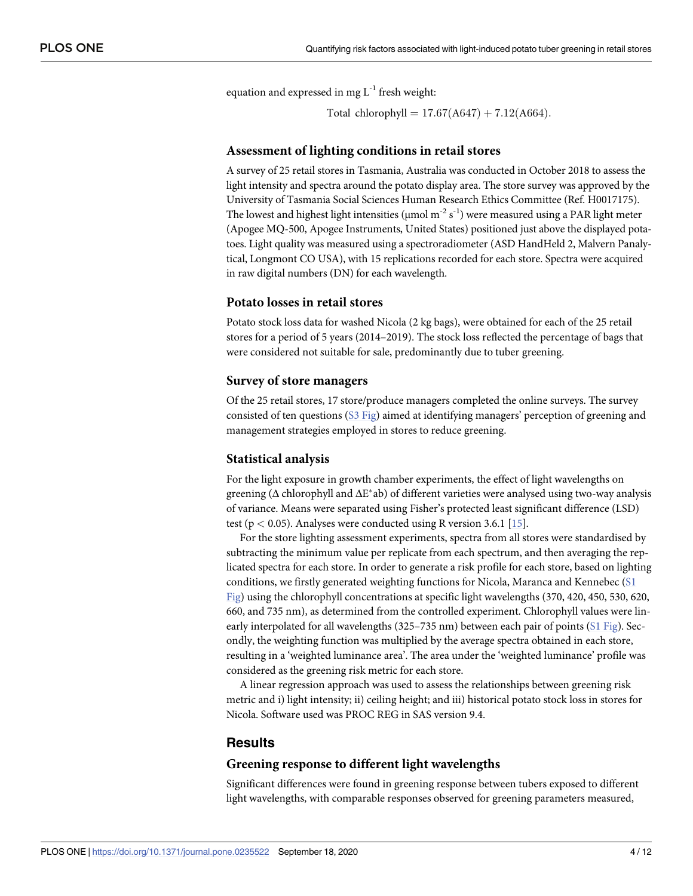<span id="page-3-0"></span>equation and expressed in mg  $L^{-1}$  fresh weight:

Total chlorophyll =  $17.67(A647) + 7.12(A664)$ .

#### **Assessment of lighting conditions in retail stores**

A survey of 25 retail stores in Tasmania, Australia was conducted in October 2018 to assess the light intensity and spectra around the potato display area. The store survey was approved by the University of Tasmania Social Sciences Human Research Ethics Committee (Ref. H0017175). The lowest and highest light intensities ( $\mu$ mol m<sup>-2</sup> s<sup>-1</sup>) were measured using a PAR light meter (Apogee MQ-500, Apogee Instruments, United States) positioned just above the displayed potatoes. Light quality was measured using a spectroradiometer (ASD HandHeld 2, Malvern Panalytical, Longmont CO USA), with 15 replications recorded for each store. Spectra were acquired in raw digital numbers (DN) for each wavelength.

#### **Potato losses in retail stores**

Potato stock loss data for washed Nicola (2 kg bags), were obtained for each of the 25 retail stores for a period of 5 years (2014–2019). The stock loss reflected the percentage of bags that were considered not suitable for sale, predominantly due to tuber greening.

#### **Survey of store managers**

Of the 25 retail stores, 17 store/produce managers completed the online surveys. The survey consisted of ten questions (S3 [Fig](#page-9-0)) aimed at identifying managers' perception of greening and management strategies employed in stores to reduce greening.

#### **Statistical analysis**

For the light exposure in growth chamber experiments, the effect of light wavelengths on greening ( $\Delta$  chlorophyll and  $\Delta E^*$ ab) of different varieties were analysed using two-way analysis of variance. Means were separated using Fisher's protected least significant difference (LSD) test (p *<* 0.05). Analyses were conducted using R version 3.6.1 [\[15\]](#page-10-0).

For the store lighting assessment experiments, spectra from all stores were standardised by subtracting the minimum value per replicate from each spectrum, and then averaging the replicated spectra for each store. In order to generate a risk profile for each store, based on lighting conditions, we firstly generated weighting functions for Nicola, Maranca and Kennebec ([S1](#page-9-0) [Fig\)](#page-9-0) using the chlorophyll concentrations at specific light wavelengths (370, 420, 450, 530, 620, 660, and 735 nm), as determined from the controlled experiment. Chlorophyll values were lin-early interpolated for all wavelengths (325–735 nm) between each pair of points (S1 [Fig\)](#page-9-0). Secondly, the weighting function was multiplied by the average spectra obtained in each store, resulting in a 'weighted luminance area'. The area under the 'weighted luminance' profile was considered as the greening risk metric for each store.

A linear regression approach was used to assess the relationships between greening risk metric and i) light intensity; ii) ceiling height; and iii) historical potato stock loss in stores for Nicola. Software used was PROC REG in SAS version 9.4.

#### **Results**

#### **Greening response to different light wavelengths**

Significant differences were found in greening response between tubers exposed to different light wavelengths, with comparable responses observed for greening parameters measured,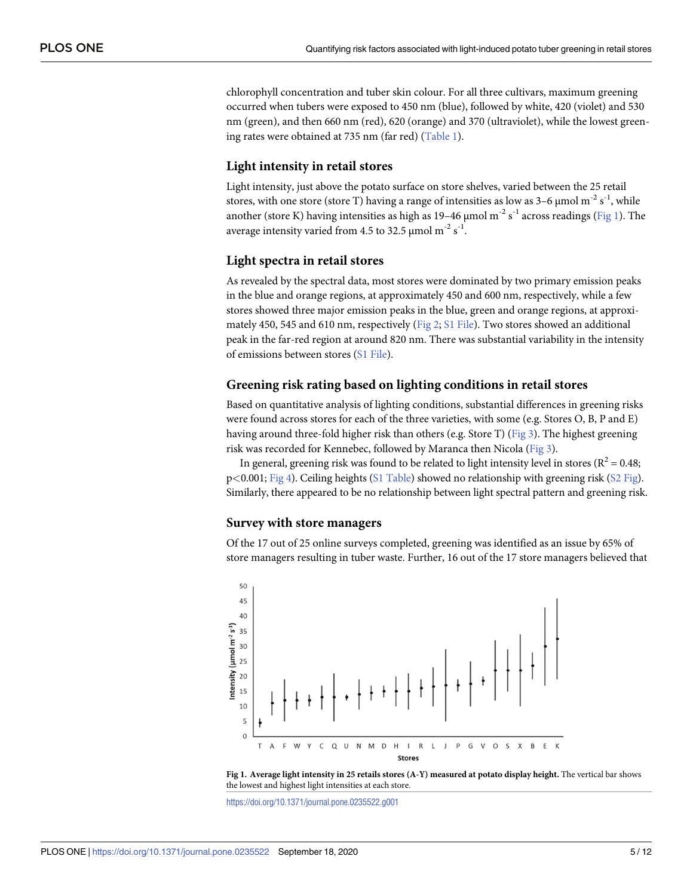<span id="page-4-0"></span>chlorophyll concentration and tuber skin colour. For all three cultivars, maximum greening occurred when tubers were exposed to 450 nm (blue), followed by white, 420 (violet) and 530 nm (green), and then 660 nm (red), 620 (orange) and 370 (ultraviolet), while the lowest greening rates were obtained at 735 nm (far red) [\(Table](#page-2-0) 1).

#### **Light intensity in retail stores**

Light intensity, just above the potato surface on store shelves, varied between the 25 retail stores, with one store (store T) having a range of intensities as low as 3-6  $\mu$ mol m<sup>-2</sup> s<sup>-1</sup>, while another (store K) having intensities as high as 19–46 µmol m<sup>-2</sup> s<sup>-1</sup> across readings (Fig 1). The average intensity varied from 4.5 to 32.5  $\mu$ mol m $^{-2}$  s $^{-1}$ .

#### **Light spectra in retail stores**

As revealed by the spectral data, most stores were dominated by two primary emission peaks in the blue and orange regions, at approximately 450 and 600 nm, respectively, while a few stores showed three major emission peaks in the blue, green and orange regions, at approximately 450, 545 and 610 nm, respectively [\(Fig](#page-5-0) 2; S1 [File\)](#page-9-0). Two stores showed an additional peak in the far-red region at around 820 nm. There was substantial variability in the intensity of emissions between stores (S1 [File\)](#page-9-0).

#### **Greening risk rating based on lighting conditions in retail stores**

Based on quantitative analysis of lighting conditions, substantial differences in greening risks were found across stores for each of the three varieties, with some (e.g. Stores O, B, P and E) having around three-fold higher risk than others (e.g. Store T) [\(Fig](#page-5-0) 3). The highest greening risk was recorded for Kennebec, followed by Maranca then Nicola ([Fig](#page-5-0) 3).

In general, greening risk was found to be related to light intensity level in stores ( $R^2 = 0.48$ ; p*<*0.001; [Fig](#page-6-0) 4). Ceiling heights (S1 [Table](#page-9-0)) showed no relationship with greening risk (S2 [Fig\)](#page-9-0). Similarly, there appeared to be no relationship between light spectral pattern and greening risk.

#### **Survey with store managers**

Of the 17 out of 25 online surveys completed, greening was identified as an issue by 65% of store managers resulting in tuber waste. Further, 16 out of the 17 store managers believed that



**Fig 1. Average light intensity in 25 retails stores (A-Y) measured at potato display height.** The vertical bar shows the lowest and highest light intensities at each store.

<https://doi.org/10.1371/journal.pone.0235522.g001>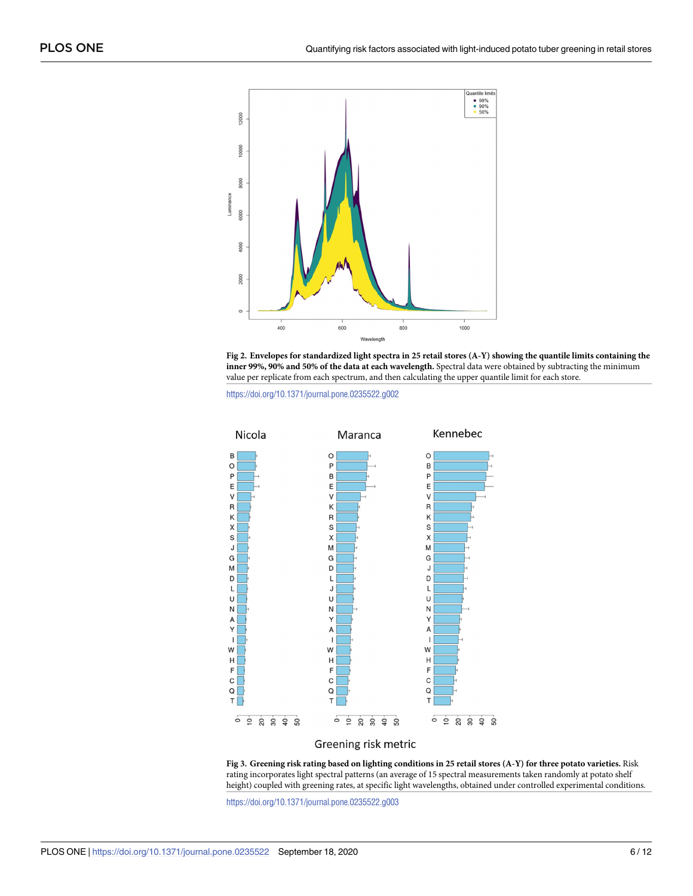<span id="page-5-0"></span>



<https://doi.org/10.1371/journal.pone.0235522.g002>



#### Greening risk metric

[Fig](#page-4-0) 3. Greening risk rating based on lighting conditions in 25 retail stores (A-Y) for three potato varieties. Risk rating incorporates light spectral patterns (an average of 15 spectral measurements taken randomly at potato shelf height) coupled with greening rates, at specific light wavelengths, obtained under controlled experimental conditions.

<https://doi.org/10.1371/journal.pone.0235522.g003>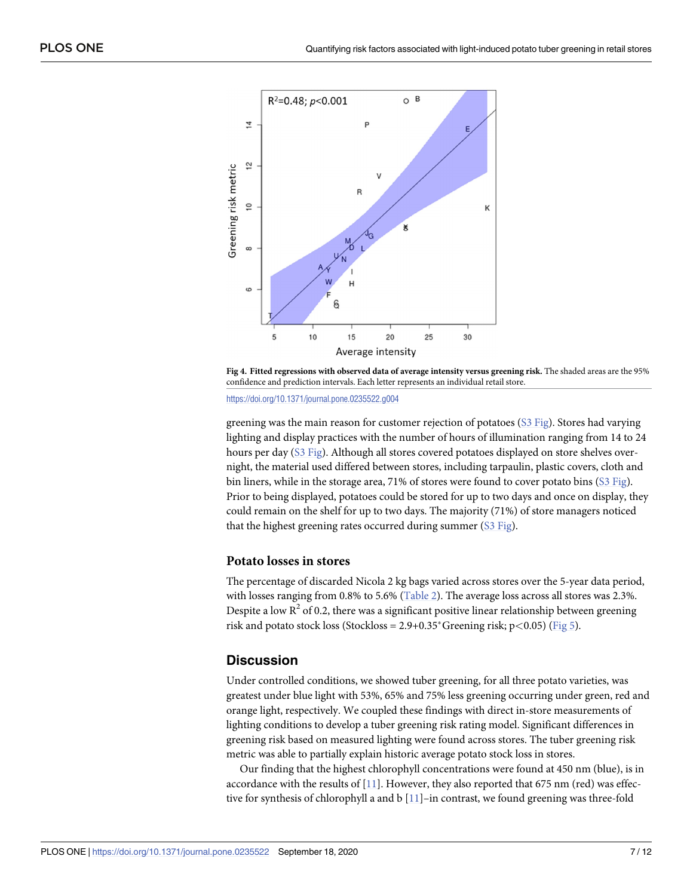<span id="page-6-0"></span>

**[Fig](#page-4-0) 4. Fitted regressions with observed data of average intensity versus greening risk.** The shaded areas are the 95% confidence and prediction intervals. Each letter represents an individual retail store.

<https://doi.org/10.1371/journal.pone.0235522.g004>

greening was the main reason for customer rejection of potatoes (S3 [Fig\)](#page-9-0). Stores had varying lighting and display practices with the number of hours of illumination ranging from 14 to 24 hours per day (S3 [Fig\)](#page-9-0). Although all stores covered potatoes displayed on store shelves overnight, the material used differed between stores, including tarpaulin, plastic covers, cloth and bin liners, while in the storage area, 71% of stores were found to cover potato bins (S3 [Fig\)](#page-9-0). Prior to being displayed, potatoes could be stored for up to two days and once on display, they could remain on the shelf for up to two days. The majority (71%) of store managers noticed that the highest greening rates occurred during summer (S3 [Fig](#page-9-0)).

#### **Potato losses in stores**

The percentage of discarded Nicola 2 kg bags varied across stores over the 5-year data period, with losses ranging from 0.8% to 5.6% ([Table](#page-7-0) 2). The average loss across all stores was 2.3%. Despite a low  $R^2$  of 0.2, there was a significant positive linear relationship between greening risk and potato stock loss (Stockloss =  $2.9+0.35$ <sup>\*</sup>Greening risk; p<0.05) [\(Fig](#page-8-0) 5).

## **Discussion**

Under controlled conditions, we showed tuber greening, for all three potato varieties, was greatest under blue light with 53%, 65% and 75% less greening occurring under green, red and orange light, respectively. We coupled these findings with direct in-store measurements of lighting conditions to develop a tuber greening risk rating model. Significant differences in greening risk based on measured lighting were found across stores. The tuber greening risk metric was able to partially explain historic average potato stock loss in stores.

Our finding that the highest chlorophyll concentrations were found at 450 nm (blue), is in accordance with the results of  $[11]$  $[11]$  $[11]$ . However, they also reported that 675 nm (red) was effective for synthesis of chlorophyll a and b [\[11\]](#page-10-0)–in contrast, we found greening was three-fold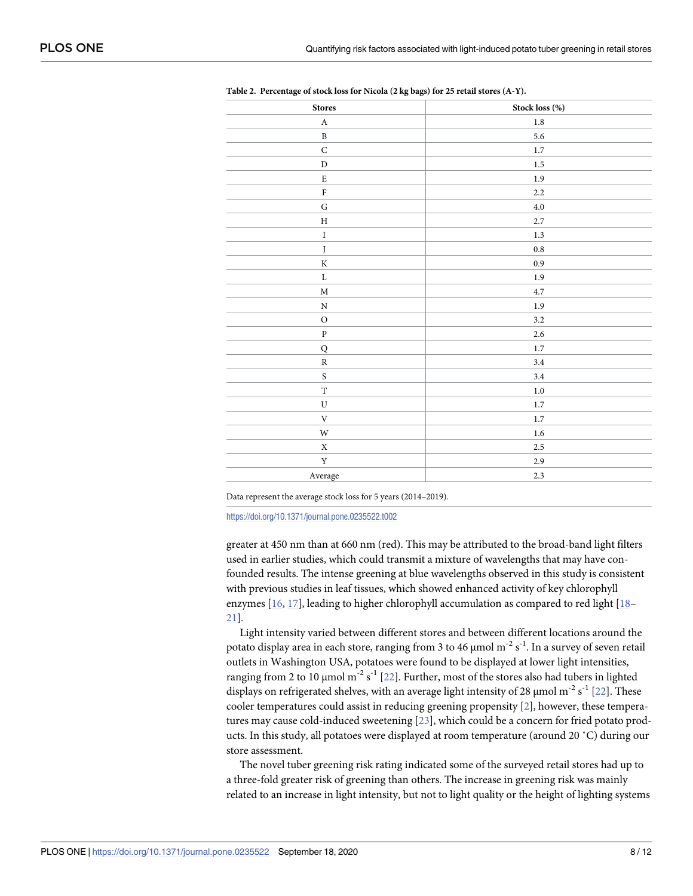| <b>Stores</b>           | Stock loss (%) |
|-------------------------|----------------|
| $\mathbf A$             | $1.8\,$        |
| $\, {\bf B}$            | $5.6\,$        |
| ${\bf C}$               | $1.7\,$        |
| ${\rm D}$               | $1.5\,$        |
| ${\bf E}$               | $1.9\,$        |
| ${\bf F}$               | $2.2\,$        |
| ${\bf G}$               | $4.0\,$        |
| $\rm H$                 | 2.7            |
| $\rm I$                 | $1.3\,$        |
| $\boldsymbol{J}$        | $\rm 0.8$      |
| $\rm K$                 | $\rm 0.9$      |
| $\mathbf L$             | $1.9\,$        |
| $\mathbf M$             | 4.7            |
| ${\bf N}$               | $1.9\,$        |
| $\rm{O}$                | $3.2\,$        |
| ${\bf P}$               | $2.6\,$        |
| ${\sf Q}$               | $1.7\,$        |
| ${\mathbb R}$           | 3.4            |
| $\mathbf S$             | 3.4            |
| $\mathbf T$             | $1.0\,$        |
| ${\bf U}$               | $1.7\,$        |
| $\mathbf V$             | $1.7\,$        |
| $\ensuremath{\text{W}}$ | $1.6\,$        |
| $\mathbf X$             | $2.5\,$        |
| $\mathbf Y$             | $2.9\,$        |
| $\Large\bf Average$     | 2.3            |
|                         |                |

<span id="page-7-0"></span>

| Table 2. Percentage of stock loss for Nicola (2 kg bags) for 25 retail stores (A-Y). |
|--------------------------------------------------------------------------------------|
|--------------------------------------------------------------------------------------|

Data represent the average stock loss for 5 years (2014–2019).

<https://doi.org/10.1371/journal.pone.0235522.t002>

greater at 450 nm than at 660 nm (red). This may be attributed to the broad-band light filters used in earlier studies, which could transmit a mixture of wavelengths that may have confounded results. The intense greening at blue wavelengths observed in this study is consistent with previous studies in leaf tissues, which showed enhanced activity of key chlorophyll enzymes [\[16,](#page-10-0) [17\]](#page-10-0), leading to higher chlorophyll accumulation as compared to red light [[18](#page-11-0)– [21\]](#page-11-0).

Light intensity varied between different stores and between different locations around the potato display area in each store, ranging from 3 to 46  $\mu$ mol m<sup>-2</sup> s<sup>-1</sup>. In a survey of seven retail outlets in Washington USA, potatoes were found to be displayed at lower light intensities, ranging from 2 to 10  $\mu$ mol m<sup>-2</sup> s<sup>-1</sup> [\[22\]](#page-11-0). Further, most of the stores also had tubers in lighted displays on refrigerated shelves, with an average light intensity of 28  $\mu$ mol m<sup>-2</sup> s<sup>-1</sup> [\[22\]](#page-11-0). These cooler temperatures could assist in reducing greening propensity [\[2\]](#page-10-0), however, these temperatures may cause cold-induced sweetening [\[23\]](#page-11-0), which could be a concern for fried potato products. In this study, all potatoes were displayed at room temperature (around 20 ˚C) during our store assessment.

The novel tuber greening risk rating indicated some of the surveyed retail stores had up to a three-fold greater risk of greening than others. The increase in greening risk was mainly related to an increase in light intensity, but not to light quality or the height of lighting systems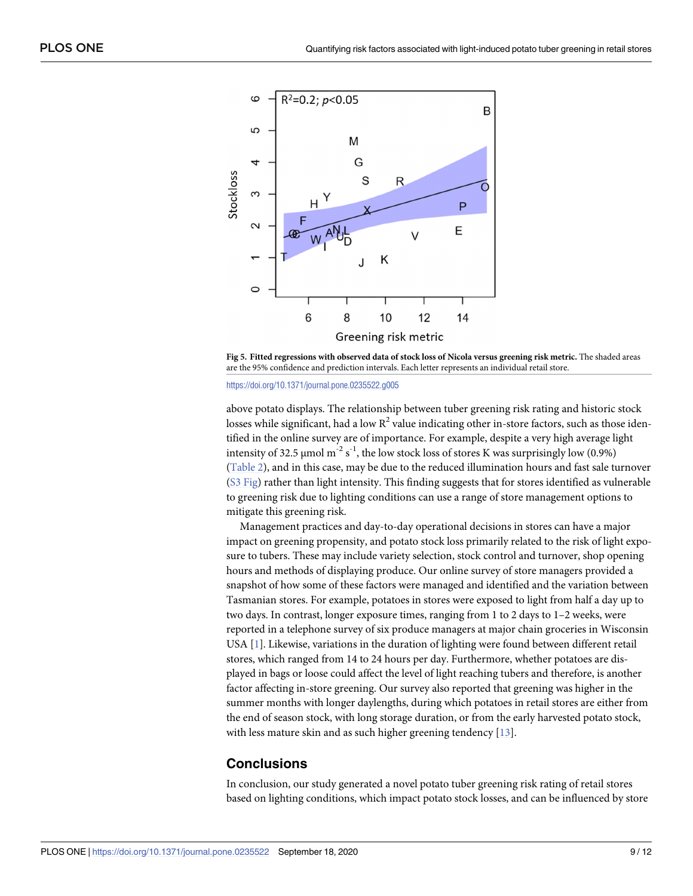<span id="page-8-0"></span>



#### <https://doi.org/10.1371/journal.pone.0235522.g005>

above potato displays. The relationship between tuber greening risk rating and historic stock losses while significant, had a low  $R^2$  value indicating other in-store factors, such as those identified in the online survey are of importance. For example, despite a very high average light intensity of 32.5  $\mu$ mol m<sup>-2</sup> s<sup>-1</sup>, the low stock loss of stores K was surprisingly low (0.9%) [\(Table](#page-7-0) 2), and in this case, may be due to the reduced illumination hours and fast sale turnover (S3 [Fig\)](#page-9-0) rather than light intensity. This finding suggests that for stores identified as vulnerable to greening risk due to lighting conditions can use a range of store management options to mitigate this greening risk.

Management practices and day-to-day operational decisions in stores can have a major impact on greening propensity, and potato stock loss primarily related to the risk of light exposure to tubers. These may include variety selection, stock control and turnover, shop opening hours and methods of displaying produce. Our online survey of store managers provided a snapshot of how some of these factors were managed and identified and the variation between Tasmanian stores. For example, potatoes in stores were exposed to light from half a day up to two days. In contrast, longer exposure times, ranging from 1 to 2 days to 1–2 weeks, were reported in a telephone survey of six produce managers at major chain groceries in Wisconsin USA [[1](#page-10-0)]. Likewise, variations in the duration of lighting were found between different retail stores, which ranged from 14 to 24 hours per day. Furthermore, whether potatoes are displayed in bags or loose could affect the level of light reaching tubers and therefore, is another factor affecting in-store greening. Our survey also reported that greening was higher in the summer months with longer daylengths, during which potatoes in retail stores are either from the end of season stock, with long storage duration, or from the early harvested potato stock, with less mature skin and as such higher greening tendency [\[13\]](#page-10-0).

## **Conclusions**

In conclusion, our study generated a novel potato tuber greening risk rating of retail stores based on lighting conditions, which impact potato stock losses, and can be influenced by store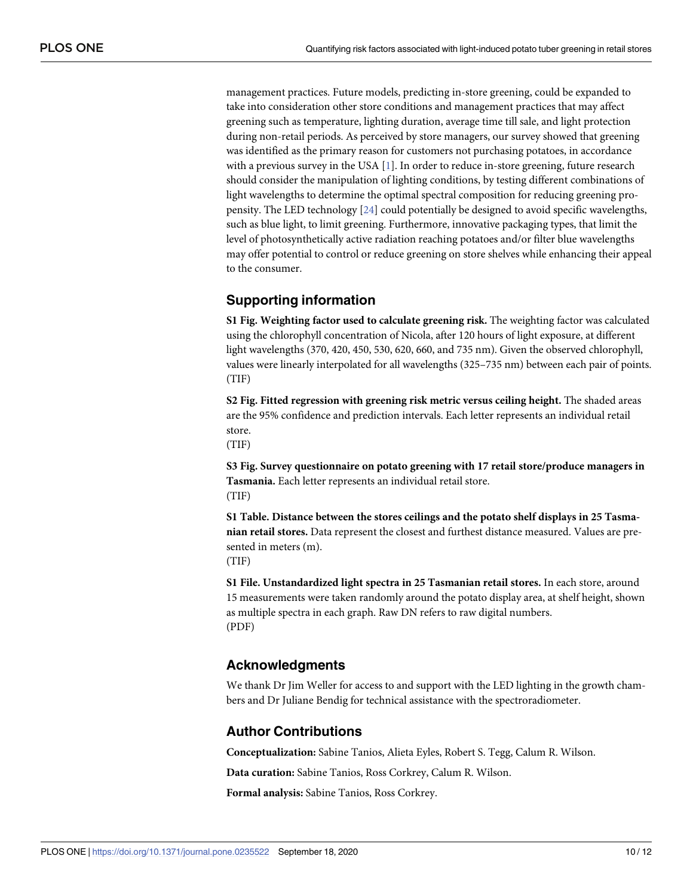<span id="page-9-0"></span>management practices. Future models, predicting in-store greening, could be expanded to take into consideration other store conditions and management practices that may affect greening such as temperature, lighting duration, average time till sale, and light protection during non-retail periods. As perceived by store managers, our survey showed that greening was identified as the primary reason for customers not purchasing potatoes, in accordance with a previous survey in the USA  $[1]$  $[1]$  $[1]$ . In order to reduce in-store greening, future research should consider the manipulation of lighting conditions, by testing different combinations of light wavelengths to determine the optimal spectral composition for reducing greening propensity. The LED technology [\[24\]](#page-11-0) could potentially be designed to avoid specific wavelengths, such as blue light, to limit greening. Furthermore, innovative packaging types, that limit the level of photosynthetically active radiation reaching potatoes and/or filter blue wavelengths may offer potential to control or reduce greening on store shelves while enhancing their appeal to the consumer.

## **Supporting information**

**S1 [Fig](http://www.plosone.org/article/fetchSingleRepresentation.action?uri=info:doi/10.1371/journal.pone.0235522.s001). Weighting factor used to calculate greening risk.** The weighting factor was calculated using the chlorophyll concentration of Nicola, after 120 hours of light exposure, at different light wavelengths (370, 420, 450, 530, 620, 660, and 735 nm). Given the observed chlorophyll, values were linearly interpolated for all wavelengths (325–735 nm) between each pair of points. (TIF)

**S2 [Fig](http://www.plosone.org/article/fetchSingleRepresentation.action?uri=info:doi/10.1371/journal.pone.0235522.s002). Fitted regression with greening risk metric versus ceiling height.** The shaded areas are the 95% confidence and prediction intervals. Each letter represents an individual retail store.

(TIF)

**S3 [Fig](http://www.plosone.org/article/fetchSingleRepresentation.action?uri=info:doi/10.1371/journal.pone.0235522.s003). Survey questionnaire on potato greening with 17 retail store/produce managers in Tasmania.** Each letter represents an individual retail store. (TIF)

**S1 [Table.](http://www.plosone.org/article/fetchSingleRepresentation.action?uri=info:doi/10.1371/journal.pone.0235522.s004) Distance between the stores ceilings and the potato shelf displays in 25 Tasmanian retail stores.** Data represent the closest and furthest distance measured. Values are presented in meters (m).

(TIF)

**S1 [File.](http://www.plosone.org/article/fetchSingleRepresentation.action?uri=info:doi/10.1371/journal.pone.0235522.s005) Unstandardized light spectra in 25 Tasmanian retail stores.** In each store, around 15 measurements were taken randomly around the potato display area, at shelf height, shown as multiple spectra in each graph. Raw DN refers to raw digital numbers. (PDF)

## **Acknowledgments**

We thank Dr Jim Weller for access to and support with the LED lighting in the growth chambers and Dr Juliane Bendig for technical assistance with the spectroradiometer.

#### **Author Contributions**

**Conceptualization:** Sabine Tanios, Alieta Eyles, Robert S. Tegg, Calum R. Wilson.

**Data curation:** Sabine Tanios, Ross Corkrey, Calum R. Wilson.

**Formal analysis:** Sabine Tanios, Ross Corkrey.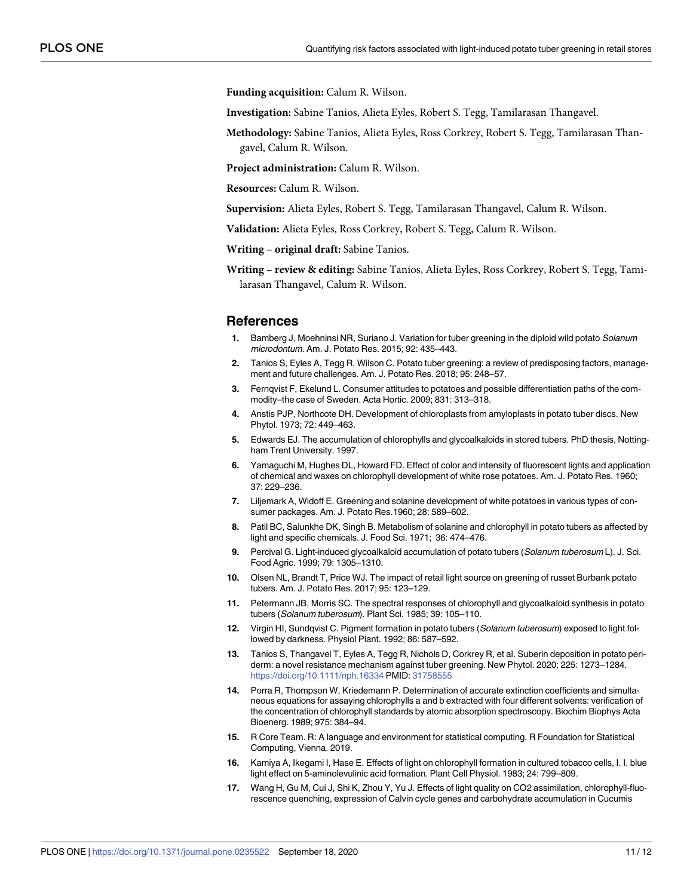<span id="page-10-0"></span>**Funding acquisition:** Calum R. Wilson.

**Investigation:** Sabine Tanios, Alieta Eyles, Robert S. Tegg, Tamilarasan Thangavel.

**Methodology:** Sabine Tanios, Alieta Eyles, Ross Corkrey, Robert S. Tegg, Tamilarasan Thangavel, Calum R. Wilson.

**Project administration:** Calum R. Wilson.

**Resources:** Calum R. Wilson.

**Supervision:** Alieta Eyles, Robert S. Tegg, Tamilarasan Thangavel, Calum R. Wilson.

**Validation:** Alieta Eyles, Ross Corkrey, Robert S. Tegg, Calum R. Wilson.

**Writing – original draft:** Sabine Tanios.

**Writing – review & editing:** Sabine Tanios, Alieta Eyles, Ross Corkrey, Robert S. Tegg, Tamilarasan Thangavel, Calum R. Wilson.

#### **References**

- **[1](#page-0-0).** Bamberg J, Moehninsi NR, Suriano J. Variation for tuber greening in the diploid wild potato Solanum microdontum. Am. J. Potato Res. 2015; 92: 435–443.
- **[2](#page-0-0).** Tanios S, Eyles A, Tegg R, Wilson C. Potato tuber greening: a review of predisposing factors, management and future challenges. Am. J. Potato Res. 2018; 95: 248–57.
- **[3](#page-0-0).** Fernqvist F, Ekelund L. Consumer attitudes to potatoes and possible differentiation paths of the commodity–the case of Sweden. Acta Hortic. 2009; 831: 313–318.
- **[4](#page-0-0).** Anstis PJP, Northcote DH. Development of chloroplasts from amyloplasts in potato tuber discs. New Phytol. 1973; 72: 449–463.
- **[5](#page-0-0).** Edwards EJ. The accumulation of chlorophylls and glycoalkaloids in stored tubers. PhD thesis, Nottingham Trent University. 1997.
- **[6](#page-0-0).** Yamaguchi M, Hughes DL, Howard FD. Effect of color and intensity of fluorescent lights and application of chemical and waxes on chlorophyll development of white rose potatoes. Am. J. Potato Res. 1960; 37: 229–236.
- **7.** Liljemark A, Widoff E. Greening and solanine development of white potatoes in various types of consumer packages. Am. J. Potato Res.1960; 28: 589–602.
- **[8](#page-0-0).** Patil BC, Salunkhe DK, Singh B. Metabolism of solanine and chlorophyll in potato tubers as affected by light and specific chemicals. J. Food Sci. 1971; 36: 474–476.
- **[9](#page-1-0).** Percival G. Light-induced glycoalkaloid accumulation of potato tubers (Solanum tuberosum L). J. Sci. Food Agric. 1999; 79: 1305–1310.
- **[10](#page-1-0).** Olsen NL, Brandt T, Price WJ. The impact of retail light source on greening of russet Burbank potato tubers. Am. J. Potato Res. 2017; 95: 123–129.
- **[11](#page-1-0).** Petermann JB, Morris SC. The spectral responses of chlorophyll and glycoalkaloid synthesis in potato tubers (Solanum tuberosum). Plant Sci. 1985; 39: 105–110.
- **[12](#page-1-0).** Virgin HI, Sundqvist C. Pigment formation in potato tubers (Solanum tuberosum) exposed to light followed by darkness. Physiol Plant. 1992; 86: 587–592.
- **[13](#page-1-0).** Tanios S, Thangavel T, Eyles A, Tegg R, Nichols D, Corkrey R, et al. Suberin deposition in potato periderm: a novel resistance mechanism against tuber greening. New Phytol. 2020; 225: 1273–1284. <https://doi.org/10.1111/nph.16334> PMID: [31758555](http://www.ncbi.nlm.nih.gov/pubmed/31758555)
- **[14](#page-2-0).** Porra R, Thompson W, Kriedemann P. Determination of accurate extinction coefficients and simultaneous equations for assaying chlorophylls a and b extracted with four different solvents: verification of the concentration of chlorophyll standards by atomic absorption spectroscopy. Biochim Biophys Acta Bioenerg. 1989; 975: 384–94.
- **[15](#page-3-0).** R Core Team. R: A language and environment for statistical computing. R Foundation for Statistical Computing, Vienna. 2019.
- **[16](#page-7-0).** Kamiya A, Ikegami I, Hase E. Effects of light on chlorophyll formation in cultured tobacco cells, I. I. blue light effect on 5-aminolevulinic acid formation. Plant Cell Physiol. 1983; 24: 799–809.
- **[17](#page-7-0).** Wang H, Gu M, Cui J, Shi K, Zhou Y, Yu J. Effects of light quality on CO2 assimilation, chlorophyll-fluorescence quenching, expression of Calvin cycle genes and carbohydrate accumulation in Cucumis